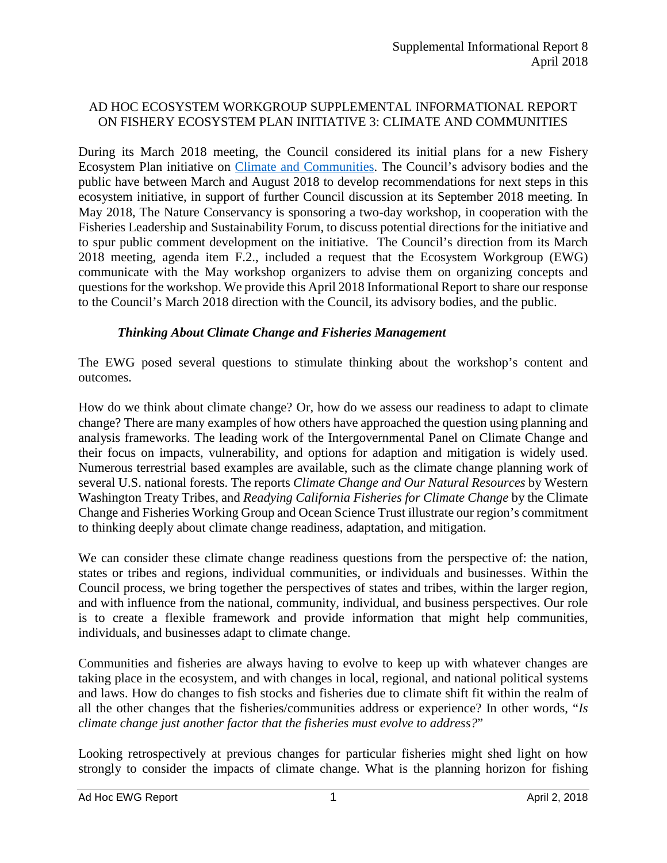# AD HOC ECOSYSTEM WORKGROUP SUPPLEMENTAL INFORMATIONAL REPORT ON FISHERY ECOSYSTEM PLAN INITIATIVE 3: CLIMATE AND COMMUNITIES

During its March 2018 meeting, the Council considered its initial plans for a new Fishery Ecosystem Plan initiative on [Climate and Communities.](https://www.pcouncil.org/ecosystem-based-management/fishery-ecosystem-plan-initiatives/climate-and-communities-initiative/) The Council's advisory bodies and the public have between March and August 2018 to develop recommendations for next steps in this ecosystem initiative, in support of further Council discussion at its September 2018 meeting. In May 2018, The Nature Conservancy is sponsoring a two-day workshop, in cooperation with the Fisheries Leadership and Sustainability Forum, to discuss potential directions for the initiative and to spur public comment development on the initiative. The Council's direction from its March 2018 meeting, agenda item F.2., included a request that the Ecosystem Workgroup (EWG) communicate with the May workshop organizers to advise them on organizing concepts and questions for the workshop. We provide this April 2018 Informational Report to share our response to the Council's March 2018 direction with the Council, its advisory bodies, and the public.

# *Thinking About Climate Change and Fisheries Management*

The EWG posed several questions to stimulate thinking about the workshop's content and outcomes.

How do we think about climate change? Or, how do we assess our readiness to adapt to climate change? There are many examples of how others have approached the question using planning and analysis frameworks. The leading work of the Intergovernmental Panel on Climate Change and their focus on impacts, vulnerability, and options for adaption and mitigation is widely used. Numerous terrestrial based examples are available, such as the climate change planning work of several U.S. national forests. The reports *Climate Change and Our Natural Resources* by Western Washington Treaty Tribes, and *Readying California Fisheries for Climate Change* by the Climate Change and Fisheries Working Group and Ocean Science Trust illustrate our region's commitment to thinking deeply about climate change readiness, adaptation, and mitigation.

We can consider these climate change readiness questions from the perspective of: the nation, states or tribes and regions, individual communities, or individuals and businesses. Within the Council process, we bring together the perspectives of states and tribes, within the larger region, and with influence from the national, community, individual, and business perspectives. Our role is to create a flexible framework and provide information that might help communities, individuals, and businesses adapt to climate change.

Communities and fisheries are always having to evolve to keep up with whatever changes are taking place in the ecosystem, and with changes in local, regional, and national political systems and laws. How do changes to fish stocks and fisheries due to climate shift fit within the realm of all the other changes that the fisheries/communities address or experience? In other words, "*Is climate change just another factor that the fisheries must evolve to address?*"

Looking retrospectively at previous changes for particular fisheries might shed light on how strongly to consider the impacts of climate change. What is the planning horizon for fishing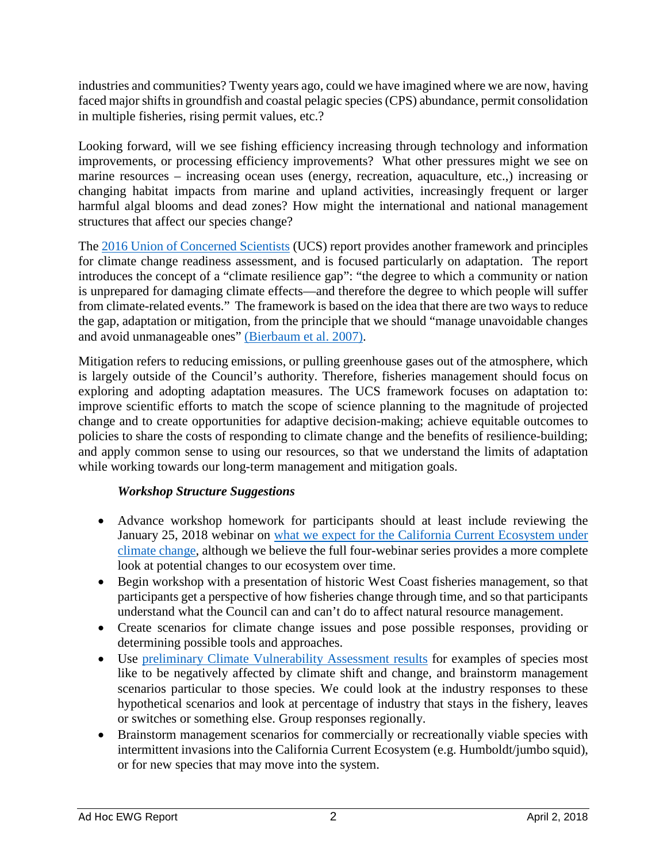industries and communities? Twenty years ago, could we have imagined where we are now, having faced major shifts in groundfish and coastal pelagic species (CPS) abundance, permit consolidation in multiple fisheries, rising permit values, etc.?

Looking forward, will we see fishing efficiency increasing through technology and information improvements, or processing efficiency improvements? What other pressures might we see on marine resources – increasing ocean uses (energy, recreation, aquaculture, etc.,) increasing or changing habitat impacts from marine and upland activities, increasingly frequent or larger harmful algal blooms and dead zones? How might the international and national management structures that affect our species change?

The [2016 Union of Concerned Scientists](https://www.ucsusa.org/global-warming/science-and-impacts/impacts/climate-resilience-framework-and-principles#.Wrloy0xFyUn) (UCS) report provides another framework and principles for climate change readiness assessment, and is focused particularly on adaptation. The report introduces the concept of a "climate resilience gap": "the degree to which a community or nation is unprepared for damaging climate effects—and therefore the degree to which people will suffer from climate-related events." The framework is based on the idea that there are two ways to reduce the gap, adaptation or mitigation, from the principle that we should "manage unavoidable changes and avoid unmanageable ones" [\(Bierbaum et al. 2007\).](http://publications.ceu.hu/publications/bierbaum/9999/15173)

Mitigation refers to reducing emissions, or pulling greenhouse gases out of the atmosphere, which is largely outside of the Council's authority. Therefore, fisheries management should focus on exploring and adopting adaptation measures. The UCS framework focuses on adaptation to: improve scientific efforts to match the scope of science planning to the magnitude of projected change and to create opportunities for adaptive decision-making; achieve equitable outcomes to policies to share the costs of responding to climate change and the benefits of resilience-building; and apply common sense to using our resources, so that we understand the limits of adaptation while working towards our long-term management and mitigation goals.

# *Workshop Structure Suggestions*

- Advance workshop homework for participants should at least include reviewing the January 25, 2018 webinar on [what we expect for the California Current Ecosystem under](https://www.pcouncil.org/ecosystem-based-management/fishery-ecosystem-plan-initiatives/climate-and-communities-initiative/climate-and-communities-initiative-2018-webinar-series/)  [climate change,](https://www.pcouncil.org/ecosystem-based-management/fishery-ecosystem-plan-initiatives/climate-and-communities-initiative/climate-and-communities-initiative-2018-webinar-series/) although we believe the full four-webinar series provides a more complete look at potential changes to our ecosystem over time.
- Begin workshop with a presentation of historic West Coast fisheries management, so that participants get a perspective of how fisheries change through time, and so that participants understand what the Council can and can't do to affect natural resource management.
- Create scenarios for climate change issues and pose possible responses, providing or determining possible tools and approaches.
- Use [preliminary Climate Vulnerability Assessment results](http://www.pcouncil.org/wp-content/uploads/2017/09/I1a_Sup_NWFSC_SWFSC_Prestn1_McClure_SEPT2017BB.pdf) for examples of species most like to be negatively affected by climate shift and change, and brainstorm management scenarios particular to those species. We could look at the industry responses to these hypothetical scenarios and look at percentage of industry that stays in the fishery, leaves or switches or something else. Group responses regionally.
- Brainstorm management scenarios for commercially or recreationally viable species with intermittent invasions into the California Current Ecosystem (e.g. Humboldt/jumbo squid), or for new species that may move into the system.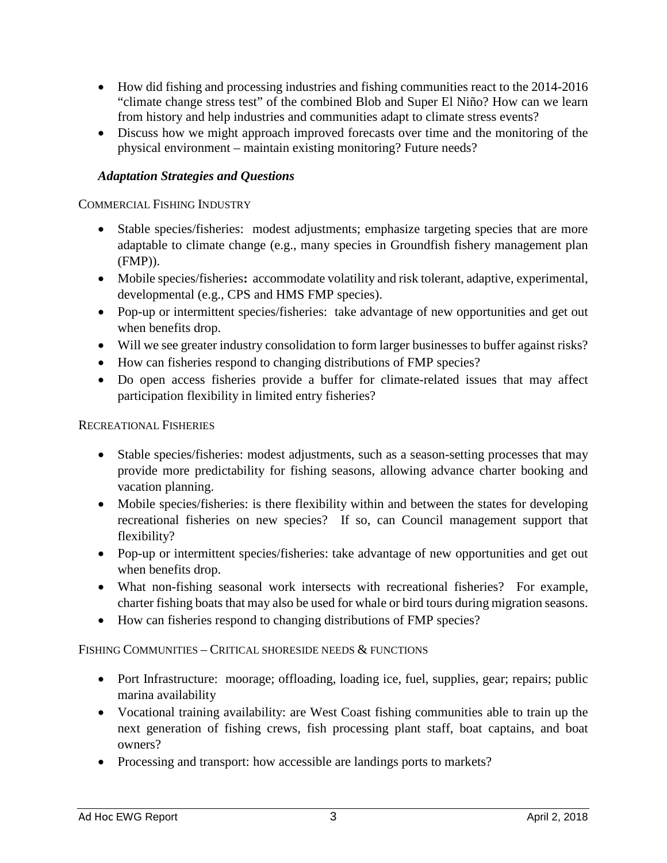- How did fishing and processing industries and fishing communities react to the 2014-2016 "climate change stress test" of the combined Blob and Super El Niño? How can we learn from history and help industries and communities adapt to climate stress events?
- Discuss how we might approach improved forecasts over time and the monitoring of the physical environment – maintain existing monitoring? Future needs?

# *Adaptation Strategies and Questions*

COMMERCIAL FISHING INDUSTRY

- Stable species/fisheries: modest adjustments; emphasize targeting species that are more adaptable to climate change (e.g., many species in Groundfish fishery management plan (FMP)).
- Mobile species/fisheries**:** accommodate volatility and risk tolerant, adaptive, experimental, developmental (e.g., CPS and HMS FMP species).
- Pop-up or intermittent species/fisheries: take advantage of new opportunities and get out when benefits drop.
- Will we see greater industry consolidation to form larger businesses to buffer against risks?
- How can fisheries respond to changing distributions of FMP species?
- Do open access fisheries provide a buffer for climate-related issues that may affect participation flexibility in limited entry fisheries?

#### RECREATIONAL FISHERIES

- Stable species/fisheries: modest adjustments, such as a season-setting processes that may provide more predictability for fishing seasons, allowing advance charter booking and vacation planning.
- Mobile species/fisheries: is there flexibility within and between the states for developing recreational fisheries on new species? If so, can Council management support that flexibility?
- Pop-up or intermittent species/fisheries: take advantage of new opportunities and get out when benefits drop.
- What non-fishing seasonal work intersects with recreational fisheries? For example, charter fishing boats that may also be used for whale or bird tours during migration seasons.
- How can fisheries respond to changing distributions of FMP species?

# FISHING COMMUNITIES – CRITICAL SHORESIDE NEEDS & FUNCTIONS

- Port Infrastructure: moorage; offloading, loading ice, fuel, supplies, gear; repairs; public marina availability
- Vocational training availability: are West Coast fishing communities able to train up the next generation of fishing crews, fish processing plant staff, boat captains, and boat owners?
- Processing and transport: how accessible are landings ports to markets?